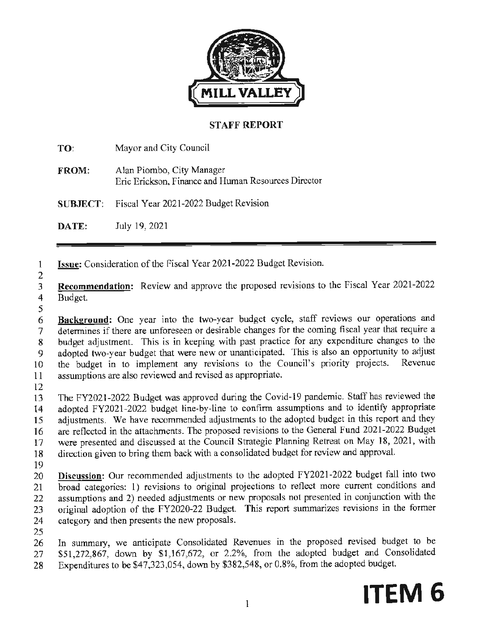

### **STAFF REPORT**

**TO:** Mayor and City Council **FROM:** Alan Piombo, City Manager Eric Erickson, Finance and Human Resources Director **SUBJECT:** Fiscal Year 2021-2022 Budget Revision

**DATE:** July 19, 2021

l **Issue:** Consideration of the Fiscal Year 2021-2022 Budget Revision.

2 3 **Recommendation:** Review and approve the proposed revisions to the Fiscal Year 2021-2022 4 Budget.

5

6 **Background:** One year into the two-year budget cycle, staff reviews our operations and 7 determines if there are unforeseen or desirable changes for the coming fiscal year that require a 8 budget adjustment. This is in keeping with past practice for any expenditure changes to the 9 adopted two-year budget that were new or unanticipated. This is also an opportunity to adjust 10 the budget in to implement any revisions to the Council's priority projects. Revenue 11 assumptions are also reviewed and revised as appropriate.

12

13 The FY2021-2022 Budget was approved during the Covid-19 pandemic. Staff has reviewed the 14 adopted FY2021-2022 budget line-by-line to confirm assumptions and to identify appropriate 15 adjustments. We have recommended adjustments to the adopted budget **in** this report and they 16 are reflected in the attachments. The proposed revisions to the General Fund 2021-2022 Budget 17 were presented and discussed at the Council Strategic Planning Retreat on May 18, 2021, with 18 direction given to bring them back with a consolidated budget for review and approval.

19

20 **Discussion:** Our recommended adjustments to the adopted FY2021-2022 budget fall into two 21 broad categories: 1) revisions to original projections to reflect more current conditions and 22 assumptions and 2) needed adjustments or new proposals not presented in conjunction with the 23 original adoption of the FY2020-22 Budget. This report summarizes revisions in the former 24 category and then presents the new proposals.

25

26 In summary, we anticipate Consolidated Revenues in the proposed revised budget to be 27 \$51,272,867, down by \$1,167,672, or 2.2%, from the adopted budget and Consolidated

28 Expenditures to be \$47,323,054, down by \$382,548, or 0.8%, from the adopted budget.

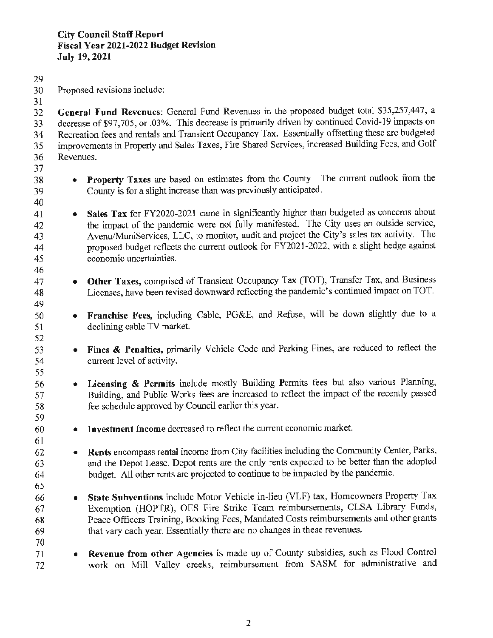- 29
- 30 Proposed revisions include:

31 32 **General Fund Revenues:** General Fund Revenues in the proposed budget total \$35,257,447, a 33 decrease of \$97,705, or .03%. This decrease is primarily driven by continued Covid-19 impacts on 34 Recreation fees and rentals and Transient Occupancy Tax. Essentially offsetting these are budgeted 35 improvements in Property and Sales Taxes, Fire Shared Services, increased Building Fees, and Golf 36 Revenues.

37

40

46

49

52

55

59

61

65

70

- 38 **Property Taxes** are based on estimates from the County. The current outlook from the 39 County is for a slight increase than was previously anticipated.
- 41 **Sales Tax** for FY2020-2021 came in significantly higher than budgeted as concerns about 42 the impact of the pandemic were not fully manifested. The City uses an outside service, 43 Avenu/MuniServices, LLC, to monitor, audit and project the City's sales tax activity. The 44 proposed budget reflects the current outlook for FY2021-2022, with a slight hedge against 45 economic uncertainties.
- 47 **Other Taxes,** comprised of Transient Occupancy Tax (TOT), Transfer Tax, and Business 48 Licenses, have been revised downward reflecting the pandemic's continued impact on TOT.
- 50 **Franchise Fees,** including Cable, PG&E, and Refuse, will be down slightly due to a 51 declining cable TV market.
- 53 **Fines** & **Penalties,** primarily Vehicle Code and Parking Fines, are reduced to reflect the 54 current level of activity.
- 56 **Licensing** & **Permits** include mostly Building Permits fees but also various Planning, 57 Building, and Public Works fees are increased to reflect the impact of the recently passed 58 fee schedule approved by Council earlier this year.
- 60 **Investment Income** decreased to reflect the current economic market.
- 62 **Rents** encompass rental income from City facilities including the Community Center, Parks, 63 and the Depot Lease. Depot rents are the only rents expected to be better than the adopted 64 budget. All other rents are projected to continue to be impacted by the pandemic.
- 66 **State Subventions** include Motor Vehicle in-lieu (VLF) tax, Homeowners Property Tax 67 Exemption (HOPTR), OES Fire Strike Team reimbursements, CLSA Library Funds, 68 Peace Officers Training, Booking Fees, Mandated Costs reimbursements and other grants 69 that vary each year. Essentially there are no changes in these revenues.
- 71 **Revenue from other Agencies** is made up of County subsidies, such as Flood Control 72 work on Mill Valley creeks, reimbursement from SASM for administrative and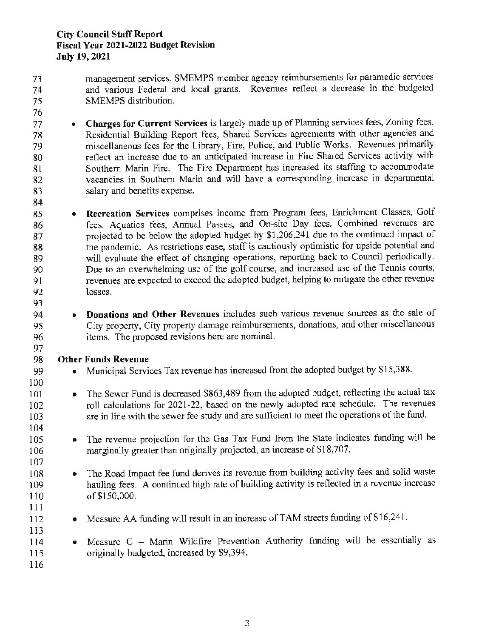#### **City Council Staff Report Fiscal Year 2021-2022 Budget Revision July 19, 2021**

73 management services, SMEMPS member agency reimbursements for paramedic services 7 4 and various Federal and local grants. Revenues reflect a decrease in the budgeted 75 SMEMPS distribution.

76

77 • **Charges for Current Services** is largely made up of Planning services fees, Zoning fees, 78 Residential Building Report fees, Shared Services agreements with other agencies and 79 miscellaneous fees for the Library, Fire, Police, and Public Works. Revenues primarily 80 reflect an increase due to an anticipated increase in Fire Shared Services activity with 81 Southern Marin Fire. The Fire Department has increased its staffing to accommodate 82 vacancies in Southern Marin and will have a corresponding increase in departmental 83 salary and benefits expense.

84

93

97

100

104

85 • **Recreation Services** comprises income from Program fees, Enrichment Classes, Golf 86 fees, Aquatics fees, Annual Passes, and On-site Day fees. Combined revenues are 87 projected to be below the adopted budget by \$1,206,241 due to the continued impact of 88 the pandemic. As restrictions ease, staff is cautiously optimistic for upside potential and 89 will evaluate the effect of changing operations, reporting back to Council periodically. 90 Due to an overwhelming use of the golf course, and increased use of the Tennis courts, 91 revenues are expected to exceed the adopted budget, helping to mitigate the other revenue 92 losses.

94 • **Donations and Other Revenues** includes such various revenue sources as the sale of 95 City property, City property damage reimbursements, donations, and other miscellaneous 96 items. The proposed revisions here are nominal.

### 98 **Other Funds Revenue**

99 • Municipal Services Tax revenue has increased from the adopted budget by \$15,388.

- 101 The Sewer Fund is decreased \$863,489 from the adopted budget, reflecting the actual tax 102 roll calculations for 2021-22, based on the newly adopted rate schedule. The revenues 103 are in line with the sewer fee study and are sufficient to meet the operations of the fund.
- 105 The revenue projection for the Gas Tax Fund from the State indicates funding will be 106 marginally greater than originally projected, an increase of \$18,707.
- 107 108 • The Road Impact fee fund derives its revenue from building activity fees and solid waste 109 hauling fees. A continued high rate of building activity is reflected in a revenue increase 110 of \$150,000.
- 112 Measure AA funding will result in an increase of TAM streets funding of \$16,241.
- ll3 114 • Measure C - Marin Wildfire Prevention Authority funding will be essentially as 115 originally budgeted, increased by \$9,394.

116

111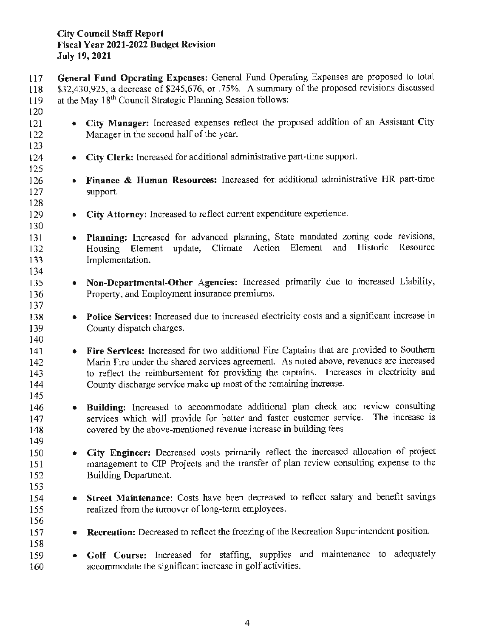### **City Council Staff Report Fiscal Year 2021-2022 Budget Revision July 19,2021**

117 **General Fund Operating Expenses:** General Fund Operating Expenses are proposed to total 118 \$32,430,925, a decrease of \$245,676, or .75%. A summary of the proposed revisions discussed 119 at the May 18<sup>th</sup> Council Strategic Planning Session follows: 120 121 • **City Manager:** Increased expenses reflect the proposed addition of an Assistant City 122 Manager in the second half of the year. 123 124 • City Clerk: Increased for additional administrative part-time support. 125 126 • **Finance** & **Human Resources:** Increased for additional administrative HR part-time 127 support. 128 129 • **City Attorney:** Increased to reflect current expenditure experience. 130 131 • **Planning:** Increased for advanced planning, State mandated zoning code revisions, 132 Housing Element update, Climate Action Element and Historic Resource 133 Implementation. 134 135 • **Non-Departmental-Other Agencies:** Increased primarily due to increased Liability, 136 Property, and Employment insurance premiums. 137 138 • **Police Services:** Increased due to increased electricity costs and a significant increase in 139 County dispatch charges. 140 141 • **Fire Services:** Increased for two additional Fire Captains that are provided to Southern 142 Marin Fire under the shared services agreement. As noted above, revenues are increased 143 to reflect the reimbursement for providing the captains. Increases in electricity and 144 County discharge service make up most of the remaining increase. 145 146 • **Building:** Increased to accommodate additional plan check and review consulting 147 services which will provide for better and faster customer service. The increase is 148 covered by the above-mentioned revenue increase in building fees. 149 150 • **City Engineer:** Decreased costs primarily reflect the increased allocation of project 151 management to CIP Projects and the transfer of plan review consulting expense to the 152 Building Department. 153 154 • **Street Maintenance:** Costs have been decreased to reflect salary and benefit savings 155 realized from the turnover of long-term employees. 156 157 • **Recreation:** Decreased to reflect the freezing of the Recreation Superintendent position. 158 159 • **Golf Course:** Increased for staffing, supplies and maintenance to adequately 160 accommodate the significant increase in golf activities.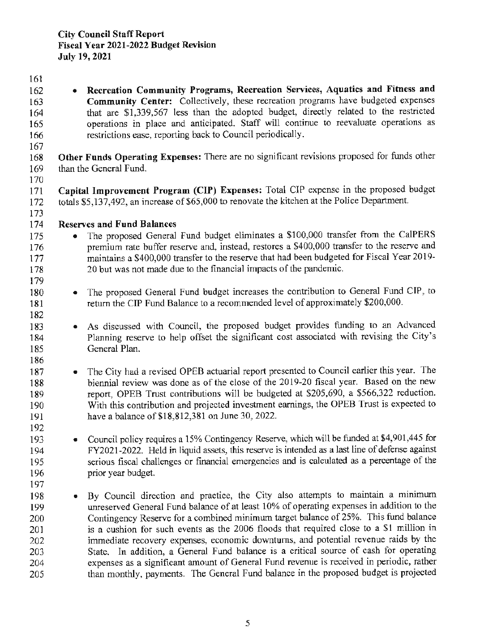161

162 • **Recreation Community Programs, Recreation Services, Aquatics and Fitness and**  163 **Community Center:** Collectively, these recreation programs have budgeted expenses 164 that are \$1,339,567 less than the adopted budget, directly related to the restricted 165 operations in place and anticipated. Staff will continue to reevaluate operations as 166 restrictions ease, reporting back to Council periodically. 167 168 **Other Funds Operating Expenses:** There are no significant revisions proposed for funds other 169 than the General Fund. 170 171 **Capital Improvement Program (CIP) Expenses:** Total CIP expense in the proposed budget 172 totals \$5,137,492, an increase of \$65,000 to renovate the kitchen at the Police Department. 173 174 **Reserves and Fund Balances**  175 • The proposed General Fund budget eliminates a \$100,000 transfer from the CalPERS 176 premium rate buffer reserve and, instead, restores a \$400,000 transfer to the reserve and 177 maintains a \$400,000 transfer to the reserve that had been budgeted for Fiscal Year 2019-178 20 but was not made due to the financial impacts of the pandemic. 179 180 • The proposed General Fund budget increases the contribution to General Fund CIP, to 181 return the CIP Fund Balance to a recommended level of approximately \$200,000. 182 183 • As discussed with Council, the proposed budget provides funding to an Advanced 184 Planning reserve to help offset the significant cost associated with revising the City's 185 General Plan. 186 187 • The City had a revised OPEB actuarial report presented to Council earlier this year. The 188 biennial review was done as of the close of the 2019-20 fiscal year. Based on the new 189 report, OPEB Trust contributions will be budgeted at \$205,690, a \$566,322 reduction. 190 With this contribution and projected investment earnings, the OPEB Trust is expected to 191 have a balance of \$18,812,381 on June 30, 2022. 192 193 • Council policy requires a 15% Contingency Reserve, which will be funded at \$4,901,445 for 194 FY2021-2022. Held in liquid assets, this reserve is intended as a last line of defense against l 95 serious fiscal challenges or financial emergencies and is calculated as a percentage of the 196 prior year budget. 197 198 • By Council direction and practice, the City also attempts to maintain a minimum 199 unreserved General Fund balance of at least 10% of operating expenses in addition to the 200 Contingency Reserve for a combined minimum target balance of 25%. This fund balance 201 is a cushion for such events as the 2006 floods that required close to a **\$1** million in 202 inunediate recovery expenses, economic downturns, and potential revenue raids by the 203 State. In addition, a General Fund balance is a critical source of cash for operating 204 expenses as a significant amount of General Fund revenue is received in periodic, rather 205 than monthly. payments. The General Fund balance in the proposed budget is projected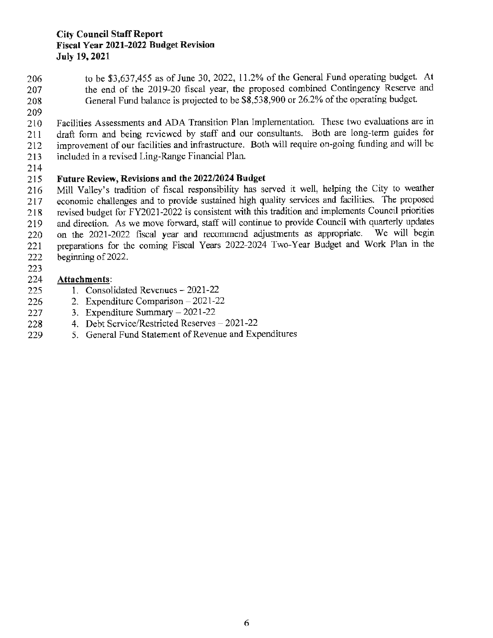#### **City Council Staff Report Fiscal Year 2021-2022 Budget Revision July 19, 2021**

- 206 to be \$3,637.455 as of June 30, 2022, 11.2% of the General Fund operating budget. At 207 the end of the 2019-20 fiscal year, the proposed combined Contingency Reserve and 208 General Fund balance is projected to be \$8,538,900 or 26.2% of the operating budget.
- 209

210 Facilities Assessments and ADA Transition Plan Implementation. These two evaluations are in 211 draft form and being reviewed by staff and our consultants. Both are long-term guides for 212 improvement of our facilities and infrastructure. Both will require on-going funding and will be 213 included in a revised Ling-Range Financial Plan.

214

### 215 **Future Review, Revisions and the 2022/2024 Budget**

216 Mill Valley's tradition of fiscal responsibility has served it well, helping the City to weather 217 economic challenges and to provide sustained high quality services and facilities. The proposed 218 revised budget for FY2021-2022 is consistent with this tradition and implements Council priorities 219 and direction. As we move forward, staff will continue to provide Council with quarterly updates 220 on the 2021-2022 fiscal year and recommend adjustments as appropriate. We will begin 221 preparations for the coming Fiscal Years 2022-2024 Two-Year Budget and Work Plan in the 222 beginning of 2022.

223

### 224 **Attachments:**

- 225 1. Consolidated Revenues 2021-22
- 226 2. Expenditure Comparison 2021-22
- 227 3. Expenditure Sumrnary-2021-22
- 228 4. Debt Service/Restricted Reserves 2021-22
- 229 5. General Fund Statement of Revenue and Expenditures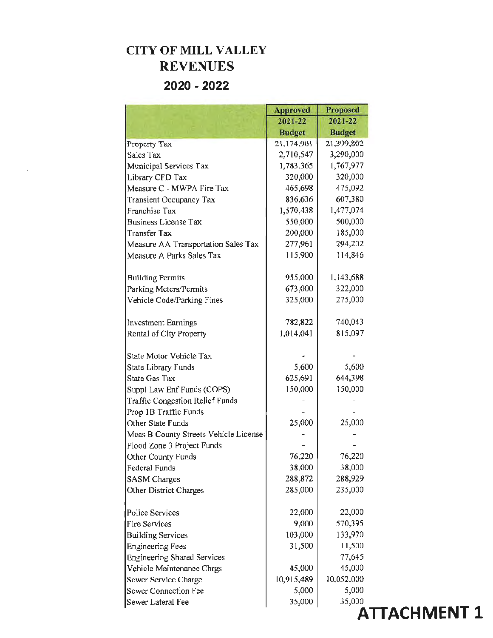# **CITY OF MILL VALLEY REVENUES 2020 - 2022**

|                                        | <b>Approved</b> | <b>Proposed</b> |
|----------------------------------------|-----------------|-----------------|
|                                        | 2021-22         | 2021-22         |
|                                        | <b>Budget</b>   | <b>Budget</b>   |
| Property Tax                           | 21,174,901      | 21,399,802      |
| Sales Tax                              | 2,710,547       | 3,290,000       |
| Municipal Services Tax                 | 1,783,365       | 1,767,977       |
| Library CFD Tax                        | 320,000         | 320,000         |
| Measure C - MWPA Fire Tax              | 465,698         | 475,092         |
| Transient Occupancy Tax                | 836,636         | 607,380         |
| Franchise Tax                          | 1,570,438       | 1,477,074       |
| <b>Business License Tax</b>            | 550,000         | 500,000         |
| <b>Transfer Tax</b>                    | 200,000         | 185,000         |
| Measure AA Transportation Sales Tax    | 277,961         | 294,202         |
| Measure A Parks Sales Tax              | 115,900         | 114,846         |
| <b>Building Permits</b>                | 955,000         | 1,143,688       |
| Parking Meters/Permits                 | 673,000         | 322,000         |
| Vehicle Code/Parking Fines             | 325,000         | 275,000         |
| <b>Investment Earnings</b>             | 782,822         | 740,043         |
| Rental of City Property                | 1,014,041       | 815,097         |
| State Motor Vehicle Tax                |                 |                 |
| State Library Funds                    | 5,600           | 5,600           |
| State Gas Tax                          | 625,691         | 644,398         |
| Suppl Law Enf Funds (COPS)             | 150,000         | 150,000         |
| <b>Traffic Congestion Relief Funds</b> |                 |                 |
| Prop 1B Traffic Funds                  |                 |                 |
| Other State Funds                      | 25,000          | 25,000          |
| Meas B County Streets Vehicle License  |                 |                 |
| Flood Zone 3 Project Funds             |                 |                 |
| Other County Funds                     | 76,220          | 76,220          |
| Federal Funds                          | 38,000          | 38,000          |
| <b>SASM</b> Charges                    | 288,872         | 288,929         |
| Other District Charges                 | 285,000         | 235,000         |
| Police Services                        | 22,000          | 22,000          |
| <b>Fire Services</b>                   | 9,000           | 570,395         |
| <b>Building Services</b>               | 103,000         | 133,970         |
| <b>Engineering Fees</b>                | 31,500          | 11,500          |
| <b>Engineering Shared Services</b>     |                 | 77,645          |
| Vehicle Maintenance Chrgs              | 45,000          | 45,000          |
| Sewer Service Charge                   | 10,915,489      | 10,052,000      |
| Sewer Connection Fee                   | 5,000           | 5,000           |
| Sewer Lateral Fee                      | 35,000          | 35,000          |

**ATTACHMENT 1**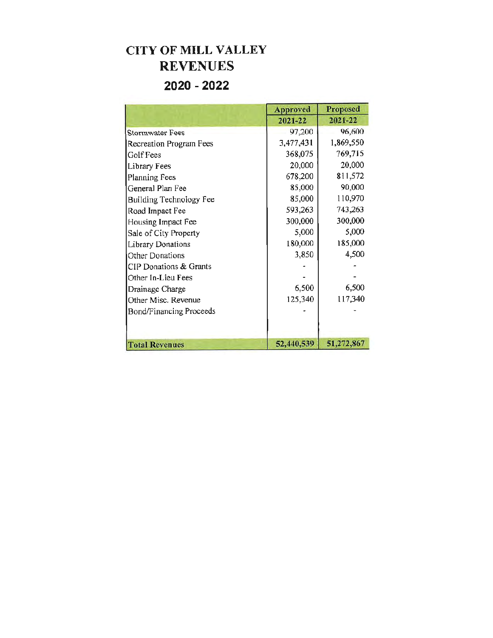# **CITY OF MILL VALLEY REVENUES 2020 - 2022**

|                                | <b>Approved</b> | <b>Proposed</b> |
|--------------------------------|-----------------|-----------------|
|                                | 2021-22         | 2021-22         |
| <b>Stormwater Fees</b>         | 97,200          | 96,600          |
| Recreation Program Fees        | 3,477,431       | 1,869,550       |
| Golf Fees                      | 368,075         | 769,715         |
| Library Fees                   | 20,000          | 20,000          |
| <b>Planning Fees</b>           | 678,200         | 811,572         |
| General Plan Fee               | 85,000          | 90,000          |
| Building Technology Fee        | 85,000          | 110,970         |
| Road Impact Fee                | 593,263         | 743,263         |
| Housing Impact Fee             | 300,000         | 300,000         |
| Sale of City Property          | 5,000           | 5,000           |
| <b>Library Donations</b>       | 180,000         | 185,000         |
| <b>Other Donations</b>         | 3,850           | 4,500           |
| CIP Donations & Grants         |                 |                 |
| Other In-Lieu Fees             |                 |                 |
| Drainage Charge                | 6,500           | 6,500           |
| Other Misc. Revenue            | 125,340         | 117,340         |
| <b>Bond/Financing Proceeds</b> |                 |                 |
|                                |                 |                 |
|                                |                 |                 |
| <b>Total Revenues</b>          | 52,440,539      | 51,272,867      |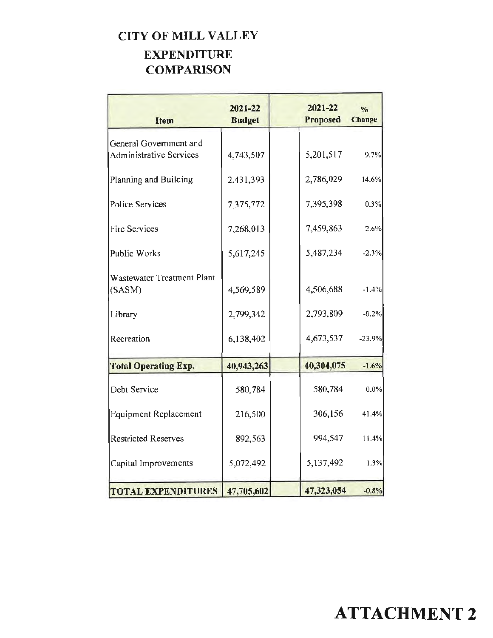# **CITY OF MILL VALLEY EXPENDITURE COMPARISON**

| Item                                                     | 2021-22<br><b>Budget</b> | 2021-22<br>Proposed | $\frac{0}{n}$<br>Change |
|----------------------------------------------------------|--------------------------|---------------------|-------------------------|
| General Government and<br><b>Administrative Services</b> | 4,743,507                | 5,201,517           | 9.7%                    |
| Planning and Building                                    | 2,431,393                | 2,786,029           | 14.6%                   |
| Police Services                                          | 7,375,772                | 7,395,398           | 0.3%                    |
| Fire Services                                            | 7,268,013                | 7,459,863           | 2.6%                    |
| <b>Public Works</b>                                      | 5,617,245                | 5,487,234           | $-2.3%$                 |
| Wastewater Treatment Plant<br>(SASM)                     | 4,569,589                | 4,506,688           | $-1.4%$                 |
| Library                                                  | 2,799,342                | 2,793,809           | $-0.2%$                 |
| Recreation                                               | 6,138,402                | 4,673,537           | $-23,9%$                |
| <b>Total Operating Exp.</b>                              | 40,943,263               | 40,304,075          | $-1.6%$                 |
| Debt Service                                             | 580,784                  | 580,784             | $0.0\%$                 |
| Equipment Replacement                                    | 216,500                  | 306,156             | 41.4%                   |
| <b>Restricted Reserves</b>                               | 892,563                  | 994,547             | 11.4%                   |
| Capital Improvements                                     | 5,072,492                | 5,137,492           | 1.3%                    |
| <b>TOTAL EXPENDITURES</b>                                | 47,705,602               | 47,323,054          | $-0.8%$                 |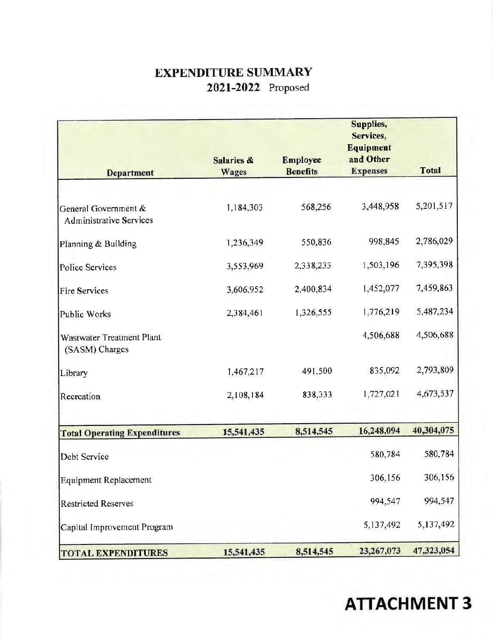# EXPENDITURE SUMMARY 2021-2022 Proposed

|                                                        |                            |                                    | Supplies,<br>Services,<br>Equipment |              |
|--------------------------------------------------------|----------------------------|------------------------------------|-------------------------------------|--------------|
| <b>Department</b>                                      | Salaries &<br><b>Wages</b> | <b>Employee</b><br><b>Benefits</b> | and Other<br><b>Expenses</b>        | <b>Total</b> |
|                                                        |                            |                                    |                                     |              |
| General Government &<br><b>Administrative Services</b> | 1,184,303                  | 568,256                            | 3,448,958                           | 5,201,517    |
| Planning & Building                                    | 1,236,349                  | 550,836                            | 998,845                             | 2,786,029    |
| Police Services                                        | 3,553,969                  | 2,338,233                          | 1,503,196                           | 7,395,398    |
| <b>Fire Services</b>                                   | 3,606,952                  | 2,400,834                          | 1,452,077                           | 7,459,863    |
| Public Works                                           | 2,384,461                  | 1,326,555                          | 1,776,219                           | 5,487,234    |
| Wastwater Treatment Plant<br>(SASM) Charges            |                            |                                    | 4,506,688                           | 4,506,688    |
| Library                                                | 1,467,217                  | 491,500                            | 835,092                             | 2,793,809    |
| Recreation                                             | 2,108,184                  | 838,333                            | 1,727,021                           | 4,673,537    |
|                                                        |                            |                                    |                                     |              |
| <b>Total Operating Expenditures</b>                    | 15,541,435                 | 8,514,545                          | 16,248,094                          | 40,304,075   |
| Debt Service                                           |                            |                                    | 580,784                             | 580,784      |
| <b>Equipment Replacement</b>                           |                            |                                    | 306,156                             | 306,156      |
| <b>Restricted Reserves</b>                             |                            |                                    | 994,547                             | 994,547      |
| Capital Improvement Program                            |                            |                                    | 5,137,492                           | 5,137,492    |
| <b>TOTAL EXPENDITURES</b>                              | 15,541,435                 | 8,514,545                          | 23,267,073                          | 47,323,054   |

# **ATTACHMENT 3**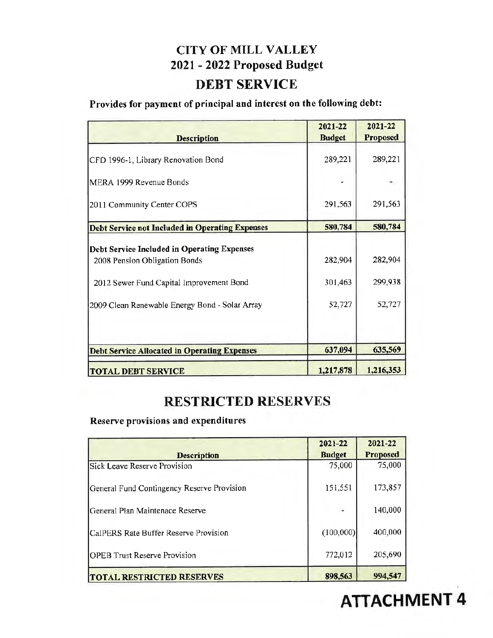# **CITY OF MILL VALLEY 2021** - **2022 Proposed Budget**

### **DEBT SERVICE**

## **Provides for payment of principal and interest on the following debt:**

| <b>Description</b>                                                                                                       | 2021-22<br><b>Budget</b> | 2021-22<br><b>Proposed</b> |
|--------------------------------------------------------------------------------------------------------------------------|--------------------------|----------------------------|
| CFD 1996-1, Library Renovation Bond                                                                                      | 289,221                  | 289,221                    |
| MERA 1999 Revenue Bonds                                                                                                  |                          |                            |
| 2011 Community Center COPS                                                                                               | 291,563                  | 291,563                    |
| Debt Service not Included in Operating Expenses                                                                          | 580,784                  | 580,784                    |
| Debt Service Included in Operating Expenses<br>2008 Pension Obligation Bonds<br>2012 Sewer Fund Capital Improvement Bond | 282,904<br>301,463       | 282,904<br>299,938         |
| 2009 Clean Renewable Energy Bond - Solar Array                                                                           | 52,727                   | 52,727                     |
| <b>Debt Service Allocated in Operating Expenses</b>                                                                      | 637,094                  | 635,569                    |
| <b>TOTAL DEBT SERVICE</b>                                                                                                | 1,217,878                | 1,216,353                  |

# **RESTRICTED RESERVES**

**Reserve provisions and expenditures** 

| <b>Description</b>                         | 2021-22<br><b>Budget</b> | 2021-22<br><b>Proposed</b> |
|--------------------------------------------|--------------------------|----------------------------|
| <b>Sick Leave Reserve Provision</b>        | 75,000                   | 75,000                     |
| General Fund Contingency Reserve Provision | 151,551                  | 173,857                    |
| General Plan Maintenace Reserve            |                          | 140,000                    |
| CalPERS Rate Buffer Reserve Provision      | (100,000)                | 400,000                    |
| <b>OPEB</b> Trust Reserve Provision        | 772,012                  | 205,690                    |
| <b>TOTAL RESTRICTED RESERVES</b>           | 898,563                  | 994.547                    |

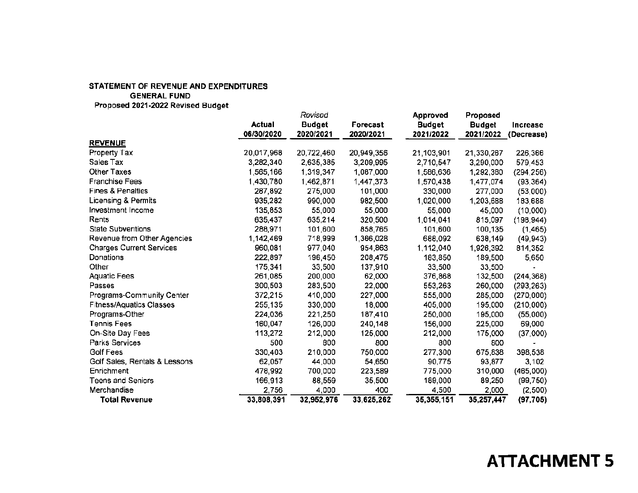|                                 |            | Revised       |            | Approved      | Proposed      |                 |
|---------------------------------|------------|---------------|------------|---------------|---------------|-----------------|
|                                 | Actual     | <b>Budget</b> | Forecast   | <b>Budget</b> | <b>Budget</b> | <b>Increase</b> |
|                                 | 06/30/2020 | 2020/2021     | 2020/2021  | 2021/2022     | 2021/2022     | (Decrease)      |
| <b>REVENUE</b>                  |            |               |            |               |               |                 |
| Property Tax                    | 20,017,968 | 20,722,460    | 20,949,356 | 21,103,901    | 21,330,267    | 226,366         |
| Sales Tax                       | 3,282,340  | 2,635,385     | 3,209,995  | 2,710,547     | 3,290,000     | 579,453         |
| Other Taxes                     | 1,565,166  | 1,319,347     | 1,087,000  | 1,586,636     | 1,292,380     | (294, 256)      |
| <b>Franchise Fees</b>           | 1,430,780  | 1,462,871     | 1,447,373  | 1,570,438     | 1,477,074     | (93, 364)       |
| <b>Fines &amp; Penalties</b>    | 287,892    | 275,000       | 101,000    | 330,000       | 277,000       | (53,000)        |
| Licensing & Permits             | 935,282    | 990,000       | 982,500    | 1,020,000     | 1,203,688     | 183,688         |
| Investment Income               | 135,853    | 55,000        | 55,000     | 55,000        | 45,000        | (10,000)        |
| Rents                           | 635,437    | 635,214       | 320,500    | 1,014,041     | 815,097       | (198, 944)      |
| <b>State Subventions</b>        | 288,971    | 101,600       | 858,765    | 101,600       | 100,135       | (1, 465)        |
| Revenue from Other Agencies     | 1,142,469  | 718,999       | 1,366,028  | 688,092       | 638,149       | (49, 943)       |
| <b>Charges Current Services</b> | 960,081    | 977,040       | 954,863    | 1,112,040     | 1,926,392     | 814,352         |
| Donations                       | 222,897    | 196,450       | 208,475    | 183,850       | 189,500       | 5,650           |
| Other                           | 175,341    | 33,500        | 137,910    | 33,500        | 33,500        |                 |
| <b>Aquatic Fees</b>             | 261,085    | 200,000       | 62,000     | 376,868       | 132,500       | (244, 368)      |
| Passes                          | 300,503    | 283,500       | 22,000     | 553,263       | 260,000       | (293, 263)      |
| Programs-Community Center       | 372,215    | 410,000       | 227,000    | 555,000       | 285,000       | (270,000)       |
| <b>Fitness/Aquatics Classes</b> | 255,135    | 330,000       | 18,000     | 405,000       | 195,000       | (210,000)       |
| Programs-Other                  | 224,036    | 221,250       | 187,410    | 250,000       | 195,000       | (55,000)        |
| <b>Tennis Fees</b>              | 160,047    | 126,000       | 240,148    | 156,000       | 225,000       | 69,000          |
| On-Site Day Fees                | 113,272    | 212,000       | 125,000    | 212,000       | 175,000       | (37,000)        |
| Parks Services                  | 500        | 800           | 800        | 800           | 800           |                 |
| <b>Golf Fees</b>                | 330,403    | 210,000       | 750,000    | 277,300       | 675,838       | 398,538         |
| Golf Sales, Rentals & Lessons   | 62,057     | 44,000        | 54,650     | 90,775        | 93,877        | 3,102           |
| Enrichment                      | 478,992    | 700,000       | 223,589    | 775,000       | 310,000       | (465,000)       |
| <b>Teens and Seniors</b>        | 166,913    | 88,559        | 35,500     | 189,000       | 89,250        | (99, 750)       |
| Merchandise                     | 2,756      | 4,000         | 400        | 4,500         | 2,000         | (2,500)         |
| <b>Total Revenue</b>            | 33,808,391 | 32,952,976    | 33,625,262 | 35, 355, 151  | 35,257,447    | (97, 705)       |

# **ATTACHMENT 5**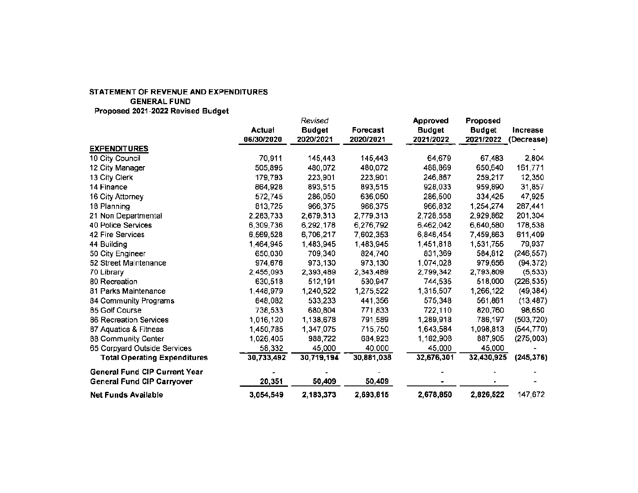|                                      |            | Revised       |            | <b>Approved</b> | Proposed      |            |
|--------------------------------------|------------|---------------|------------|-----------------|---------------|------------|
|                                      | Actual     | <b>Budget</b> | Forecast   | <b>Budget</b>   | <b>Budget</b> | Increase   |
|                                      | 06/30/2020 | 2020/2021     | 2020/2021  | 2021/2022       | 2021/2022     | (Decrease) |
| <b>EXPENDITURES</b>                  |            |               |            |                 |               |            |
| 10 City Council                      | 70,911     | 145,443       | 145,443    | 64,679          | 67,483        | 2,804      |
| 12 City Manager                      | 505,895    | 480,072       | 480,072    | 488,869         | 650,640       | 161,771    |
| 13 City Clerk                        | 179,793    | 223,901       | 223,901    | 246,867         | 259,217       | 12,350     |
| 14 Finance                           | 864,928    | 893,515       | 893,515    | 928,033         | 959,890       | 31,857     |
| 16 City Attorney                     | 572,745    | 286,050       | 636,050    | 286,500         | 334,425       | 47,925     |
| 18 Planning                          | 813,725    | 966,375       | 966,375    | 966,832         | 1,254,274     | 287,441    |
| 21 Non Departmental                  | 2,283,733  | 2,679,313     | 2,779,313  | 2,728,558       | 2,929,862     | 201,304    |
| 40 Police Services                   | 6,309,736  | 6,292,178     | 6,276,792  | 6,462,042       | 6,640,580     | 178,538    |
| 42 Fire Services                     | 6,569,528  | 6,706,217     | 7,602,353  | 6,848,454       | 7,459,863     | 611,409    |
| 44 Building                          | 1,464,945  | 1,483,945     | 1,483,945  | 1,451,818       | 1,531,755     | 79,937     |
| 50 City Engineer                     | 650,030    | 709,340       | 824,740    | 831,369         | 584,812       | (246, 557) |
| 52 Street Maintenance                | 974,676    | 973,130       | 973,130    | 1,074,028       | 979,656       | (94, 372)  |
| 70 Library                           | 2,455,093  | 2,393,489     | 2,343,489  | 2,799,342       | 2,793,809     | (5, 533)   |
| 80 Recreation                        | 630,518    | 512,191       | 530,947    | 744,535         | 518,000       | (226, 535) |
| 81 Parks Maintenance                 | 1,448,979  | 1,240,522     | 1,275,522  | 1,315,507       | 1,266,122     | (49, 384)  |
| 84 Community Programs                | 648,082    | 533,233       | 441,356    | 575,348         | 561,861       | (13, 487)  |
| 85 Golf Course                       | 738,533    | 680,804       | 771,833    | 722,110         | 820,760       | 98,650     |
| <b>86 Recreation Services</b>        | 1,016,120  | 1,138,678     | 791,589    | 1,289,918       | 786,197       | (503, 720) |
| 87 Aquatics & Fitness                | 1,450,785  | 1,347,075     | 715,750    | 1,643,584       | 1,098,813     | (544, 770) |
| 88 Community Center                  | 1,026,405  | 988,722       | 684,923    | 1,162,908       | 887,905       | (275,003)  |
| 65 Corpyard Outside Services         | 58,332     | 45,000        | 40,000     | 45,000          | 45,000        |            |
| <b>Total Operating Expenditures</b>  | 30,733,492 | 30,719,194    | 30,881,038 | 32,676,301      | 32,430,925    | (245, 376) |
| <b>General Fund CIP Current Year</b> |            |               |            |                 |               |            |
| <b>General Fund CIP Carryover</b>    | 20,351     | 50,409        | 50,409     |                 |               |            |
| <b>Net Funds Available</b>           | 3,054,549  | 2,183,373     | 2,693,815  | 2,678,850       | 2,826,522     | 147,672    |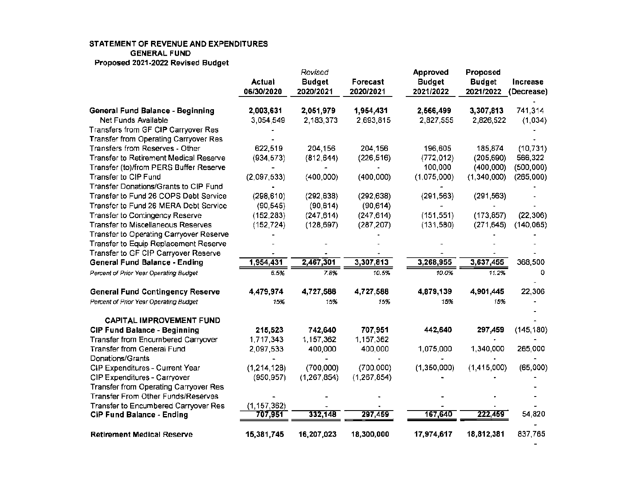|                                               |               | Revised       |             | Approved      | Proposed      |            |
|-----------------------------------------------|---------------|---------------|-------------|---------------|---------------|------------|
|                                               | Actual        | <b>Budget</b> | Forecast    | <b>Budget</b> | <b>Budget</b> | Increase   |
|                                               | 06/30/2020    | 2020/2021     | 2020/2021   | 2021/2022     | 2021/2022     | (Decrease) |
| General Fund Balance - Beginning              | 2,003,631     | 2,051,979     | 1,954,431   | 2,566,499     | 3,307,813     | 741,314    |
| Net Funds Available                           | 3,054,549     | 2,183,373     | 2,693,815   | 2,827,555     | 2,826,522     | (1,034)    |
| Transfers from GF CIP Carryover Res           |               |               |             |               |               |            |
| <b>Transfer from Operating Carryover Res</b>  |               |               |             |               |               |            |
| Transfers from Reserves - Other               | 622,519       | 204,156       | 204,156     | 196,605       | 185,874       | (10, 731)  |
| <b>Transfer to Retirement Medical Reserve</b> | (934, 573)    | (812, 644)    | (226, 516)  | (772, 012)    | (205, 690)    | 566,322    |
| Transfer (to)/from PERS Buffer Reserve        |               |               |             | 100,000       | (400, 000)    | (500,000)  |
| Transfer to CIP Fund                          | (2,097,533)   | (400,000)     | (400,000)   | (1,075,000)   | (1,340,000)   | (265,000)  |
| Transfer Donations/Grants to CIP Fund         |               |               |             |               |               |            |
| Transfer to Fund 26 COPS Debt Service         | (298, 610)    | (292, 638)    | (292, 638)  | (291, 563)    | (291, 563)    |            |
| Transfer to Fund 26 MERA Debt Service         | (90, 545)     | (90, 614)     | (90, 614)   |               |               |            |
| Transfer to Contingency Reserve               | (152, 283)    | (247, 614)    | (247, 614)  | (151, 551)    | (173, 857)    | (22, 306)  |
| <b>Transfer to Miscellaneous Reserves</b>     | (152, 724)    | (128, 697)    | (287, 207)  | (131, 580)    | (271, 645)    | (140, 065) |
| Transfer to Operating Carryover Reserve       |               |               |             |               |               |            |
| Transfer to Equip Replacement Reserve         |               |               |             |               |               |            |
| Transfer to GF CIP Carryover Reserve          |               |               |             |               |               |            |
| <b>General Fund Balance - Ending</b>          | 1,954,431     | 2,467,301     | 3,307,813   | 3,268,955     | 3,637,455     | 368,500    |
| Percent of Prior Year Operating Budget        | 6.5%          | 7.8%          | 10.5%       | 10.0%         | 11.2%         | 0          |
| <b>General Fund Contingency Reserve</b>       | 4,479,974     | 4,727,588     | 4,727,588   | 4,879,139     | 4,901,445     | 22,306     |
| Percent of Prior Year Operating Budget        | 15%           | 15%           | 15%         | 15%           | 15%           |            |
| <b>CAPITAL IMPROVEMENT FUND</b>               |               |               |             |               |               |            |
| <b>CIP Fund Balance - Beginning</b>           | 215,523       | 742,640       | 707,951     | 442,640       | 297,459       | (145, 180) |
| Transfer from Encumbered Carryover            | 1,717,343     | 1,157,362     | 1,157,362   |               |               |            |
| Transfer from General Fund                    | 2,097,533     | 400,000       | 400,000     | 1,075,000     | 1,340,000     | 265,000    |
| Donations/Grants                              |               |               |             |               |               |            |
| CIP Expenditures - Current Year               | (1,214,128)   | (700,000)     | (700,000)   | (1,350,000)   | (1,415,000)   | (65,000)   |
| CIP Expenditures - Carryover                  | (950, 957)    | (1,267,854)   | (1,267,854) |               |               |            |
| Transfer from Operating Carryover Res         |               |               |             |               |               |            |
| Transfer From Other Funds/Reserves            |               |               |             |               |               |            |
| Transfer to Encumbered Carryover Res          | (1, 157, 362) |               |             |               |               |            |
| <b>CIP Fund Balance - Ending</b>              | 707,951       | 332,148       | 297,459     | 167,640       | 222,459       | 54,820     |
|                                               |               |               |             |               |               |            |
| <b>Retirement Medical Reserve</b>             | 15,381,745    | 16,207,023    | 18,300,000  | 17,974,617    | 18,812,381    | 837,765    |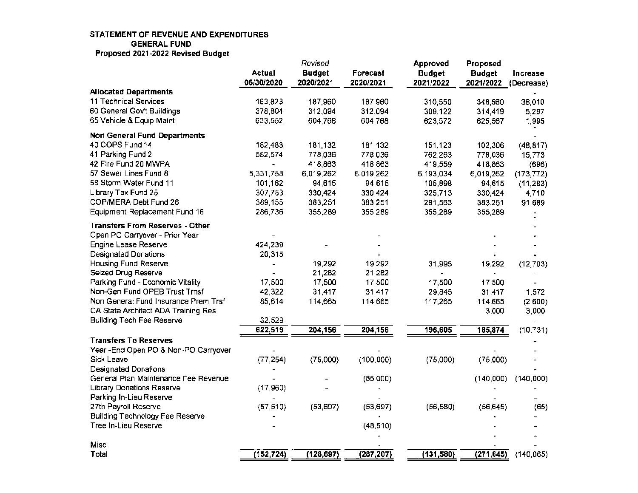|                                        |               | Revised       |            | Approved      | Proposed      |            |
|----------------------------------------|---------------|---------------|------------|---------------|---------------|------------|
|                                        | <b>Actual</b> | <b>Budget</b> | Forecast   | <b>Budget</b> | <b>Budget</b> | Increase   |
|                                        | 06/30/2020    | 2020/2021     | 2020/2021  | 2021/2022     | 2021/2022     | (Decrease) |
| <b>Allocated Departments</b>           |               |               |            |               |               |            |
| 11 Technical Services                  | 163,823       | 187,960       | 187,960    | 310,550       | 348,560       | 38,010     |
| 60 General Gov't Buildings             | 378,804       | 312,094       | 312,094    | 309,122       | 314,419       | 5,297      |
| 65 Vehicle & Equip Maint               | 633,552       | 604,768       | 604,768    | 623,572       | 625,567       | 1,995      |
| <b>Non General Fund Departments</b>    |               |               |            |               |               |            |
| 40 COPS Fund 14                        | 182,483       | 181,132       | 181,132    | 151,123       | 102,306       | (48, 817)  |
| 41 Parking Fund 2                      | 582,574       | 778,036       | 778,036    | 762,263       | 778,036       | 15,773     |
| 42 Fire Fund 20 MWPA                   |               | 418,863       | 418,863    | 419,559       | 418,863       | (696)      |
| 57 Sewer Lines Fund 8                  | 5,331,758     | 6,019,262     | 6,019,262  | 6,193,034     | 6,019,262     | (173, 772) |
| 58 Storm Water Fund 11                 | 101,162       | 94,615        | 94,615     | 105,898       | 94,615        | (11, 283)  |
| Library Tax Fund 25                    | 307,753       | 330,424       | 330,424    | 325,713       | 330,424       | 4,710      |
| COP/MERA Debt Fund 26                  | 389,155       | 383,251       | 383,251    | 291,563       | 383,251       | 91,689     |
| Equipment Replacement Fund 16          | 286,736       | 355,289       | 355,289    | 355,289       | 355,289       |            |
| <b>Transfers From Reserves - Other</b> |               |               |            |               |               |            |
| Open PO Carryover - Prior Year         |               |               |            |               |               |            |
| <b>Engine Lease Reserve</b>            | 424,239       |               |            |               |               |            |
| <b>Designated Donations</b>            | 20,315        |               |            |               |               |            |
| Housing Fund Reserve                   |               | 19,292        | 19,292     | 31,995        | 19,292        | (12, 703)  |
| Seized Drug Reserve                    |               | 21,282        | 21,282     |               |               |            |
| Parking Fund - Economic Vitality       | 17,500        | 17,500        | 17,500     | 17,500        | 17,500        |            |
| Non-Gen Fund OPEB Trust Trnsf          | 42,322        | 31,417        | 31,417     | 29,845        | 31,417        | 1,572      |
| Non General Fund Insurance Prem Trsf   | 85,614        | 114,665       | 114,665    | 117,265       | 114,665       | (2,600)    |
| CA State Architect ADA Training Res    |               |               |            |               | 3,000         | 3,000      |
| <b>Building Tech Fee Reserve</b>       | 32,529        |               |            |               |               |            |
|                                        | 622,519       | 204,156       | 204,156    | 196,605       | 185,874       | (10, 731)  |
| <b>Transfers To Reserves</b>           |               |               |            |               |               |            |
| Year - End Open PO & Non-PO Carryover  |               |               |            |               |               |            |
| Sick Leave                             | (77, 254)     | (75,000)      | (100,000)  | (75,000)      | (75,000)      |            |
| <b>Designated Donations</b>            |               |               |            |               |               |            |
| General Plan Maintenance Fee Revenue   |               |               | (85,000)   |               | (140,000)     | (140,000)  |
| Library Donations Reserve              | (17,960)      |               |            |               |               |            |
| Parking In-Lieu Reserve                |               |               |            |               |               |            |
| 27th Payroll Reserve                   | (57, 510)     | (53, 697)     | (53, 697)  | (56, 580)     | (56, 645)     | (65)       |
| <b>Building Technology Fee Reserve</b> |               |               |            |               |               |            |
| Tree In-Lieu Reserve                   |               |               | (48, 510)  |               |               |            |
| Misc                                   |               |               |            |               |               |            |
| Total                                  | (152, 724)    | (128, 697)    | (287, 207) | (131, 580)    | (271, 645)    | (140, 065) |